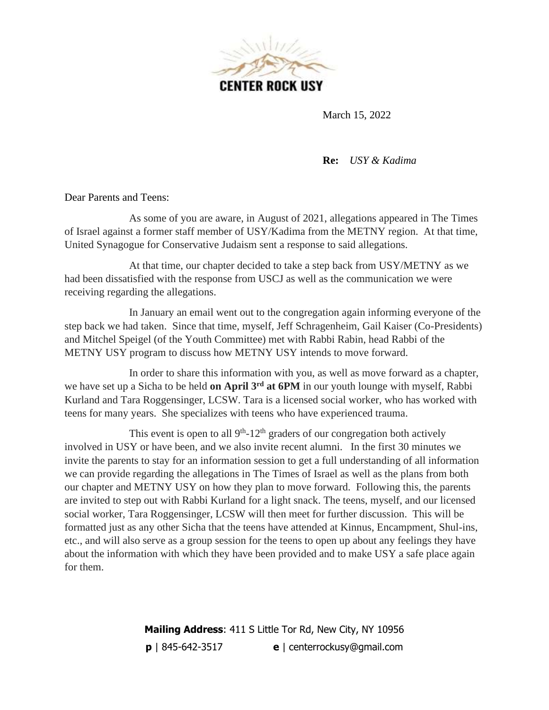

March 15, 2022

**Re:** *USY & Kadima* 

Dear Parents and Teens:

As some of you are aware, in August of 2021, allegations appeared in The Times of Israel against a former staff member of USY/Kadima from the METNY region. At that time, United Synagogue for Conservative Judaism sent a response to said allegations.

At that time, our chapter decided to take a step back from USY/METNY as we had been dissatisfied with the response from USCJ as well as the communication we were receiving regarding the allegations.

In January an email went out to the congregation again informing everyone of the step back we had taken. Since that time, myself, Jeff Schragenheim, Gail Kaiser (Co-Presidents) and Mitchel Speigel (of the Youth Committee) met with Rabbi Rabin, head Rabbi of the METNY USY program to discuss how METNY USY intends to move forward.

In order to share this information with you, as well as move forward as a chapter, we have set up a Sicha to be held **on April 3rd at 6PM** in our youth lounge with myself, Rabbi Kurland and Tara Roggensinger, LCSW. Tara is a licensed social worker, who has worked with teens for many years. She specializes with teens who have experienced trauma.

This event is open to all  $9<sup>th</sup>$ -12<sup>th</sup> graders of our congregation both actively involved in USY or have been, and we also invite recent alumni. In the first 30 minutes we invite the parents to stay for an information session to get a full understanding of all information we can provide regarding the allegations in The Times of Israel as well as the plans from both our chapter and METNY USY on how they plan to move forward. Following this, the parents are invited to step out with Rabbi Kurland for a light snack. The teens, myself, and our licensed social worker, Tara Roggensinger, LCSW will then meet for further discussion. This will be formatted just as any other Sicha that the teens have attended at Kinnus, Encampment, Shul-ins, etc., and will also serve as a group session for the teens to open up about any feelings they have about the information with which they have been provided and to make USY a safe place again for them.

> **Mailing Address**: 411 S Little Tor Rd, New City, NY 10956 **p** | 845-642-3517 **e** | centerrockusy@gmail.com